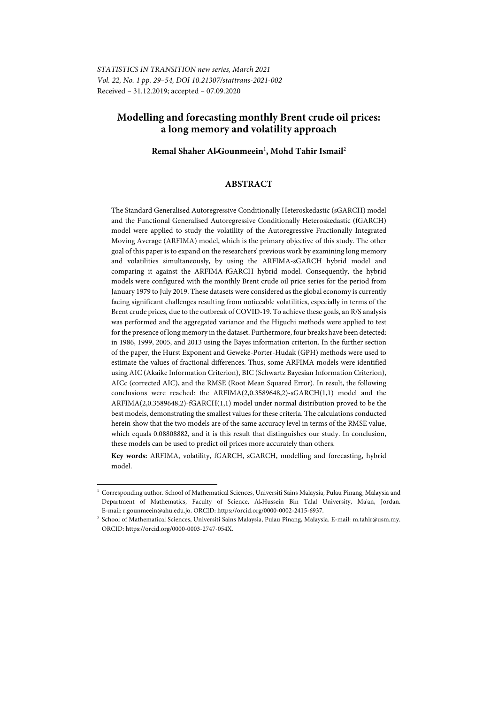# **Modelling and forecasting monthly Brent crude oil prices: a long memory and volatility approach**

**Remal Shaher AlـGounmeein**<sup>1</sup> **, Mohd Tahir Ismail**<sup>2</sup>

### **ABSTRACT**

The Standard Generalised Autoregressive Conditionally Heteroskedastic (sGARCH) model and the Functional Generalised Autoregressive Conditionally Heteroskedastic (fGARCH) model were applied to study the volatility of the Autoregressive Fractionally Integrated Moving Average (ARFIMA) model, which is the primary objective of this study. The other goal of this paper is to expand on the researchers' previous work by examining long memory and volatilities simultaneously, by using the ARFIMA-sGARCH hybrid model and comparing it against the ARFIMA-fGARCH hybrid model. Consequently, the hybrid models were configured with the monthly Brent crude oil price series for the period from January 1979 to July 2019. These datasets were considered as the global economy is currently facing significant challenges resulting from noticeable volatilities, especially in terms of the Brent crude prices, due to the outbreak of COVID-19. To achieve these goals, an R/S analysis was performed and the aggregated variance and the Higuchi methods were applied to test for the presence of long memory in the dataset. Furthermore, four breaks have been detected: in 1986, 1999, 2005, and 2013 using the Bayes information criterion. In the further section of the paper, the Hurst Exponent and Geweke-Porter-Hudak (GPH) methods were used to estimate the values of fractional differences. Thus, some ARFIMA models were identified using AIC (Akaike Information Criterion), BIC (Schwartz Bayesian Information Criterion), AICc (corrected AIC), and the RMSE (Root Mean Squared Error). In result, the following conclusions were reached: the ARFIMA(2,0.3589648,2)-sGARCH(1,1) model and the ARFIMA(2,0.3589648,2)-fGARCH(1,1) model under normal distribution proved to be the best models, demonstrating the smallest values for these criteria. The calculations conducted herein show that the two models are of the same accuracy level in terms of the RMSE value, which equals 0.08808882, and it is this result that distinguishes our study. In conclusion, these models can be used to predict oil prices more accurately than others.

**Key words:** ARFIMA, volatility, fGARCH, sGARCH, modelling and forecasting, hybrid model.

l

<sup>1</sup> Corresponding author. School of Mathematical Sciences, Universiti Sains Malaysia, Pulau Pinang, Malaysia and Department of Mathematics, Faculty of Science, AlـHussein Bin Talal University, Ma'an, Jordan. E-mail: r.gounmeein@ahu.edu.jo. ORCID: https://orcid.org/0000-0002-2415-6937. 2 School of Mathematical Sciences, Universiti Sains Malaysia, Pulau Pinang, Malaysia. E-mail: m.tahir@usm.my.

ORCID: https://orcid.org/0000-0003-2747-054X.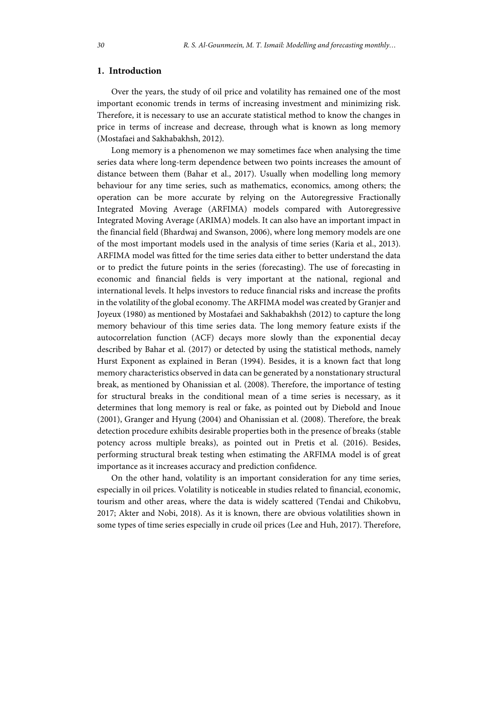## **1. Introduction**

Over the years, the study of oil price and volatility has remained one of the most important economic trends in terms of increasing investment and minimizing risk. Therefore, it is necessary to use an accurate statistical method to know the changes in price in terms of increase and decrease, through what is known as long memory (Mostafaei and Sakhabakhsh, 2012).

Long memory is a phenomenon we may sometimes face when analysing the time series data where long-term dependence between two points increases the amount of distance between them (Bahar et al., 2017). Usually when modelling long memory behaviour for any time series, such as mathematics, economics, among others; the operation can be more accurate by relying on the Autoregressive Fractionally Integrated Moving Average (ARFIMA) models compared with Autoregressive Integrated Moving Average (ARIMA) models. It can also have an important impact in the financial field (Bhardwaj and Swanson, 2006), where long memory models are one of the most important models used in the analysis of time series (Karia et al., 2013). ARFIMA model was fitted for the time series data either to better understand the data or to predict the future points in the series (forecasting). The use of forecasting in economic and financial fields is very important at the national, regional and international levels. It helps investors to reduce financial risks and increase the profits in the volatility of the global economy. The ARFIMA model was created by Granjer and Joyeux (1980) as mentioned by Mostafaei and Sakhabakhsh (2012) to capture the long memory behaviour of this time series data. The long memory feature exists if the autocorrelation function (ACF) decays more slowly than the exponential decay described by Bahar et al. (2017) or detected by using the statistical methods, namely Hurst Exponent as explained in Beran (1994). Besides, it is a known fact that long memory characteristics observed in data can be generated by a nonstationary structural break, as mentioned by Ohanissian et al. (2008). Therefore, the importance of testing for structural breaks in the conditional mean of a time series is necessary, as it determines that long memory is real or fake, as pointed out by Diebold and Inoue (2001), Granger and Hyung (2004) and Ohanissian et al. (2008). Therefore, the break detection procedure exhibits desirable properties both in the presence of breaks (stable potency across multiple breaks), as pointed out in Pretis et al. (2016). Besides, performing structural break testing when estimating the ARFIMA model is of great importance as it increases accuracy and prediction confidence.

On the other hand, volatility is an important consideration for any time series, especially in oil prices. Volatility is noticeable in studies related to financial, economic, tourism and other areas, where the data is widely scattered (Tendai and Chikobvu, 2017; Akter and Nobi, 2018). As it is known, there are obvious volatilities shown in some types of time series especially in crude oil prices (Lee and Huh, 2017). Therefore,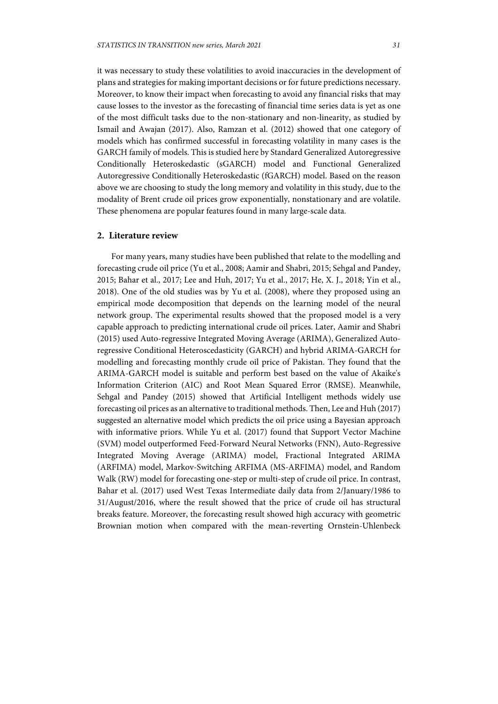it was necessary to study these volatilities to avoid inaccuracies in the development of plans and strategies for making important decisions or for future predictions necessary. Moreover, to know their impact when forecasting to avoid any financial risks that may cause losses to the investor as the forecasting of financial time series data is yet as one of the most difficult tasks due to the non-stationary and non-linearity, as studied by Ismail and Awajan (2017). Also, Ramzan et al. (2012) showed that one category of models which has confirmed successful in forecasting volatility in many cases is the GARCH family of models. This is studied here by Standard Generalized Autoregressive Conditionally Heteroskedastic (sGARCH) model and Functional Generalized Autoregressive Conditionally Heteroskedastic (fGARCH) model. Based on the reason above we are choosing to study the long memory and volatility in this study, due to the modality of Brent crude oil prices grow exponentially, nonstationary and are volatile. These phenomena are popular features found in many large-scale data.

## **2. Literature review**

For many years, many studies have been published that relate to the modelling and forecasting crude oil price (Yu et al., 2008; Aamir and Shabri, 2015; Sehgal and Pandey, 2015; Bahar et al., 2017; Lee and Huh, 2017; Yu et al., 2017; He, X. J., 2018; Yin et al., 2018). One of the old studies was by Yu et al. (2008), where they proposed using an empirical mode decomposition that depends on the learning model of the neural network group. The experimental results showed that the proposed model is a very capable approach to predicting international crude oil prices. Later, Aamir and Shabri (2015) used Auto-regressive Integrated Moving Average (ARIMA), Generalized Autoregressive Conditional Heteroscedasticity (GARCH) and hybrid ARIMA-GARCH for modelling and forecasting monthly crude oil price of Pakistan. They found that the ARIMA-GARCH model is suitable and perform best based on the value of Akaike's Information Criterion (AIC) and Root Mean Squared Error (RMSE). Meanwhile, Sehgal and Pandey (2015) showed that Artificial Intelligent methods widely use forecasting oil prices as an alternative to traditional methods. Then, Lee and Huh (2017) suggested an alternative model which predicts the oil price using a Bayesian approach with informative priors. While Yu et al. (2017) found that Support Vector Machine (SVM) model outperformed Feed-Forward Neural Networks (FNN), Auto-Regressive Integrated Moving Average (ARIMA) model, Fractional Integrated ARIMA (ARFIMA) model, Markov-Switching ARFIMA (MS-ARFIMA) model, and Random Walk (RW) model for forecasting one-step or multi-step of crude oil price. In contrast, Bahar et al. (2017) used West Texas Intermediate daily data from 2/January/1986 to 31/August/2016, where the result showed that the price of crude oil has structural breaks feature. Moreover, the forecasting result showed high accuracy with geometric Brownian motion when compared with the mean-reverting Ornstein-Uhlenbeck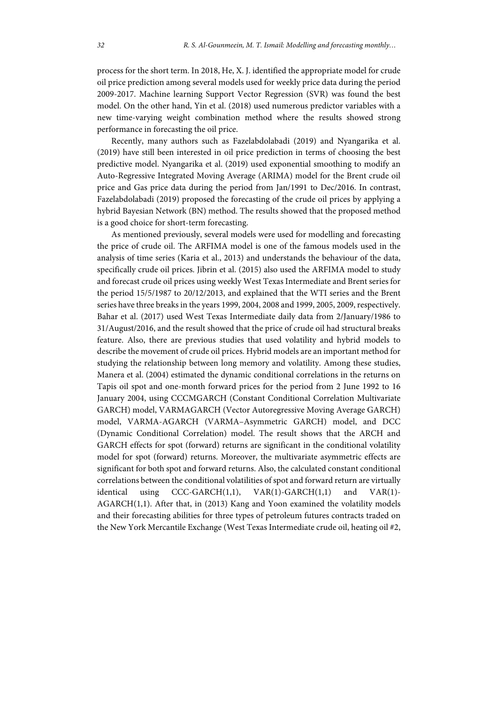process for the short term. In 2018, He, X. J. identified the appropriate model for crude oil price prediction among several models used for weekly price data during the period 2009-2017. Machine learning Support Vector Regression (SVR) was found the best model. On the other hand, Yin et al. (2018) used numerous predictor variables with a new time-varying weight combination method where the results showed strong performance in forecasting the oil price.

Recently, many authors such as Fazelabdolabadi (2019) and Nyangarika et al. (2019) have still been interested in oil price prediction in terms of choosing the best predictive model. Nyangarika et al. (2019) used exponential smoothing to modify an Auto-Regressive Integrated Moving Average (ARIMA) model for the Brent crude oil price and Gas price data during the period from Jan/1991 to Dec/2016. In contrast, Fazelabdolabadi (2019) proposed the forecasting of the crude oil prices by applying a hybrid Bayesian Network (BN) method. The results showed that the proposed method is a good choice for short-term forecasting.

As mentioned previously, several models were used for modelling and forecasting the price of crude oil. The ARFIMA model is one of the famous models used in the analysis of time series (Karia et al., 2013) and understands the behaviour of the data, specifically crude oil prices. Jibrin et al. (2015) also used the ARFIMA model to study and forecast crude oil prices using weekly West Texas Intermediate and Brent series for the period 15/5/1987 to 20/12/2013, and explained that the WTI series and the Brent series have three breaks in the years 1999, 2004, 2008 and 1999, 2005, 2009, respectively. Bahar et al. (2017) used West Texas Intermediate daily data from 2/January/1986 to 31/August/2016, and the result showed that the price of crude oil had structural breaks feature. Also, there are previous studies that used volatility and hybrid models to describe the movement of crude oil prices. Hybrid models are an important method for studying the relationship between long memory and volatility. Among these studies, Manera et al. (2004) estimated the dynamic conditional correlations in the returns on Tapis oil spot and one-month forward prices for the period from 2 June 1992 to 16 January 2004, using CCCMGARCH (Constant Conditional Correlation Multivariate GARCH) model, VARMAGARCH (Vector Autoregressive Moving Average GARCH) model, VARMA-AGARCH (VARMA–Asymmetric GARCH) model, and DCC (Dynamic Conditional Correlation) model. The result shows that the ARCH and GARCH effects for spot (forward) returns are significant in the conditional volatility model for spot (forward) returns. Moreover, the multivariate asymmetric effects are significant for both spot and forward returns. Also, the calculated constant conditional correlations between the conditional volatilities of spot and forward return are virtually identical using CCC-GARCH(1,1), VAR(1)-GARCH(1,1) and VAR(1)- AGARCH(1,1). After that, in (2013) Kang and Yoon examined the volatility models and their forecasting abilities for three types of petroleum futures contracts traded on the New York Mercantile Exchange (West Texas Intermediate crude oil, heating oil #2,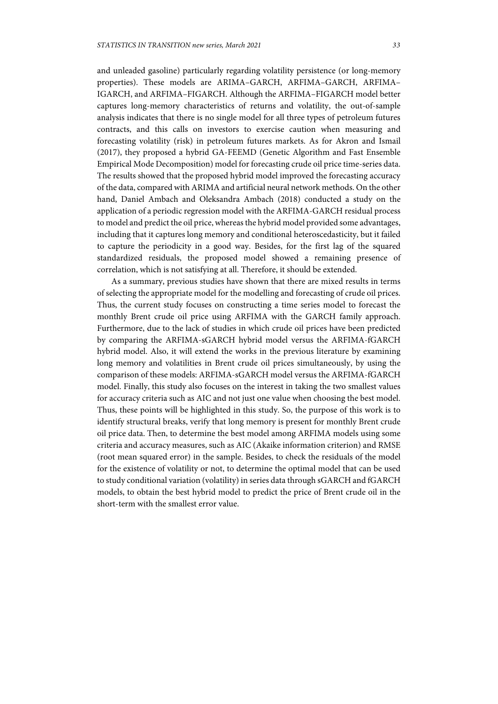and unleaded gasoline) particularly regarding volatility persistence (or long-memory properties). These models are ARIMA–GARCH, ARFIMA–GARCH, ARFIMA– IGARCH, and ARFIMA–FIGARCH. Although the ARFIMA–FIGARCH model better captures long-memory characteristics of returns and volatility, the out-of-sample analysis indicates that there is no single model for all three types of petroleum futures contracts, and this calls on investors to exercise caution when measuring and forecasting volatility (risk) in petroleum futures markets. As for Akron and Ismail (2017), they proposed a hybrid GA-FEEMD (Genetic Algorithm and Fast Ensemble Empirical Mode Decomposition) model for forecasting crude oil price time-series data. The results showed that the proposed hybrid model improved the forecasting accuracy of the data, compared with ARIMA and artificial neural network methods. On the other hand, Daniel Ambach and Oleksandra Ambach (2018) conducted a study on the application of a periodic regression model with the ARFIMA-GARCH residual process to model and predict the oil price, whereas the hybrid model provided some advantages, including that it captures long memory and conditional heteroscedasticity, but it failed to capture the periodicity in a good way. Besides, for the first lag of the squared standardized residuals, the proposed model showed a remaining presence of correlation, which is not satisfying at all. Therefore, it should be extended.

As a summary, previous studies have shown that there are mixed results in terms of selecting the appropriate model for the modelling and forecasting of crude oil prices. Thus, the current study focuses on constructing a time series model to forecast the monthly Brent crude oil price using ARFIMA with the GARCH family approach. Furthermore, due to the lack of studies in which crude oil prices have been predicted by comparing the ARFIMA-sGARCH hybrid model versus the ARFIMA-fGARCH hybrid model. Also, it will extend the works in the previous literature by examining long memory and volatilities in Brent crude oil prices simultaneously, by using the comparison of these models: ARFIMA-sGARCH model versus the ARFIMA-fGARCH model. Finally, this study also focuses on the interest in taking the two smallest values for accuracy criteria such as AIC and not just one value when choosing the best model. Thus, these points will be highlighted in this study. So, the purpose of this work is to identify structural breaks, verify that long memory is present for monthly Brent crude oil price data. Then, to determine the best model among ARFIMA models using some criteria and accuracy measures, such as AIC (Akaike information criterion) and RMSE (root mean squared error) in the sample. Besides, to check the residuals of the model for the existence of volatility or not, to determine the optimal model that can be used to study conditional variation (volatility) in series data through sGARCH and fGARCH models, to obtain the best hybrid model to predict the price of Brent crude oil in the short-term with the smallest error value.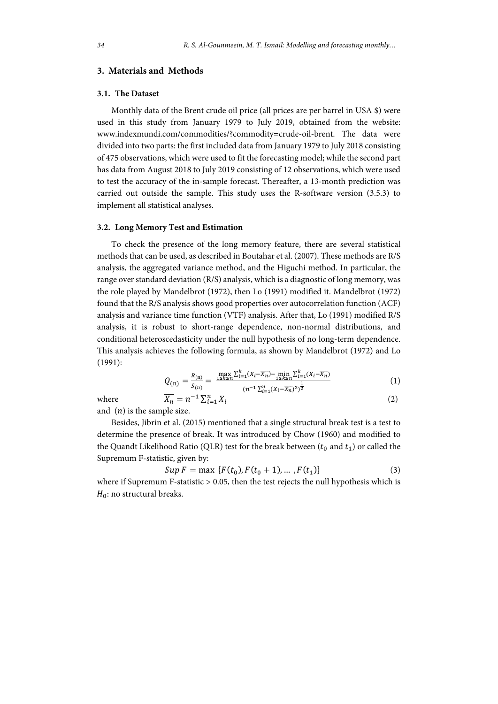## **3. Materials and Methods**

#### **3.1. The Dataset**

Monthly data of the Brent crude oil price (all prices are per barrel in USA \$) were used in this study from January 1979 to July 2019, obtained from the website: www.indexmundi.com/commodities/?commodity=crude-oil-brent. The data were divided into two parts: the first included data from January 1979 to July 2018 consisting of 475 observations, which were used to fit the forecasting model; while the second part has data from August 2018 to July 2019 consisting of 12 observations, which were used to test the accuracy of the in-sample forecast. Thereafter, a 13-month prediction was carried out outside the sample. This study uses the R-software version (3.5.3) to implement all statistical analyses.

#### **3.2. Long Memory Test and Estimation**

To check the presence of the long memory feature, there are several statistical methods that can be used, as described in Boutahar et al. (2007). These methods are R/S analysis, the aggregated variance method, and the Higuchi method. In particular, the range over standard deviation (R/S) analysis, which is a diagnostic of long memory, was the role played by Mandelbrot (1972), then Lo (1991) modified it. Mandelbrot (1972) found that the R/S analysis shows good properties over autocorrelation function (ACF) analysis and variance time function (VTF) analysis. After that, Lo (1991) modified R/S analysis, it is robust to short-range dependence, non-normal distributions, and conditional heteroscedasticity under the null hypothesis of no long-term dependence. This analysis achieves the following formula, as shown by Mandelbrot (1972) and Lo (1991):

$$
Q_{(n)} = \frac{R_{(n)}}{S_{(n)}} = \frac{\max_{1 \le k \le n} \sum_{i=1}^k (X_i - \overline{X_n}) - \min_{1 \le k \le n} \sum_{i=1}^k (X_i - \overline{X_n})}{(n^{-1} \sum_{i=1}^n (X_i - \overline{X_n})^2)^{\frac{1}{2}}}
$$
(1)

where

$$
\overline{X_n} = n^{-1} \sum_{i=1}^n X_i
$$
 (2)

and  $(n)$  is the sample size.

Besides, Jibrin et al. (2015) mentioned that a single structural break test is a test to determine the presence of break. It was introduced by Chow (1960) and modified to the Quandt Likelihood Ratio (QLR) test for the break between ( $t_0$  and  $t_1$ ) or called the Supremum F-statistic, given by:

$$
Sup F = \max \{F(t_0), F(t_0 + 1), \dots, F(t_1)\} \tag{3}
$$

where if Supremum F-statistic > 0.05, then the test rejects the null hypothesis which is  $H_0$ : no structural breaks.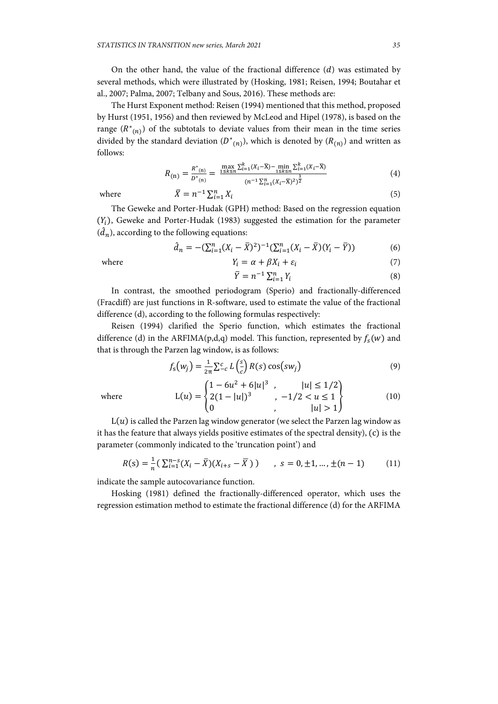On the other hand, the value of the fractional difference  $(d)$  was estimated by several methods, which were illustrated by (Hosking, 1981; Reisen, 1994; Boutahar et al., 2007; Palma, 2007; Telbany and Sous, 2016). These methods are:

The Hurst Exponent method: Reisen (1994) mentioned that this method, proposed by Hurst (1951, 1956) and then reviewed by McLeod and Hipel (1978), is based on the range  $(R^*(n))$  of the subtotals to deviate values from their mean in the time series divided by the standard deviation  $(D^*(n))$ , which is denoted by  $(R(n))$  and written as follows:

$$
R_{(n)} = \frac{R^*(n)}{D^*(n)} = \frac{\max\limits_{1 \le k \le n} \sum_{i=1}^k (X_i - \overline{X}) - \min\limits_{1 \le k \le n} \sum_{i=1}^k (X_i - \overline{X})}{(n^{-1} \sum_{i=1}^n (X_i - \overline{X})^2)^{\frac{1}{2}}}
$$
(4)

where 
$$
\overline{X} = n^{-1} \sum_{i=1}^{n} X_i
$$
 (5)

The Geweke and Porter-Hudak (GPH) method: Based on the regression equation  $(Y<sub>i</sub>)$ , Geweke and Porter-Hudak (1983) suggested the estimation for the parameter  $(\hat{d}_n)$  according to the following equations:

$$
\hat{d}_n = -(\sum_{i=1}^n (X_i - \bar{X})^2)^{-1} (\sum_{i=1}^n (X_i - \bar{X}) (Y_i - \bar{Y}))
$$
(6)

where  $Y_i = \alpha + \beta X_i + \varepsilon_i$  (7)

$$
\overline{Y} = n^{-1} \sum_{i=1}^{n} Y_i
$$
\n
$$
(8)
$$

In contrast, the smoothed periodogram (Sperio) and fractionally-differenced (Fracdiff) are just functions in R-software, used to estimate the value of the fractional difference (d), according to the following formulas respectively:

Reisen (1994) clarified the Sperio function, which estimates the fractional difference (d) in the ARFIMA(p,d,q) model. This function, represented by  $f_s(w)$  and that is through the Parzen lag window, is as follows:

$$
f_{\rm s}(w_j) = \frac{1}{2\pi} \sum_{c}^{c} L\left(\frac{s}{c}\right) R(s) \cos(sw_j)
$$
(9)

where 
$$
L(u) = \begin{cases} 1 - 6u^2 + 6|u|^3, & |u| \le 1/2 \\ 2(1 - |u|)^3, & -1/2 < u \le 1 \\ 0, & |u| > 1 \end{cases}
$$
 (10)

 $L(u)$  is called the Parzen lag window generator (we select the Parzen lag window as it has the feature that always yields positive estimates of the spectral density), (c) is the parameter (commonly indicated to the 'truncation point') and

$$
R(s) = \frac{1}{n} \left( \sum_{i=1}^{n-s} (X_i - \bar{X}) (X_{i+s} - \bar{X}) \right) \qquad , \ s = 0, \pm 1, \dots, \pm (n-1) \tag{11}
$$

indicate the sample autocovariance function.

Hosking (1981) defined the fractionally-differenced operator, which uses the regression estimation method to estimate the fractional difference (d) for the ARFIMA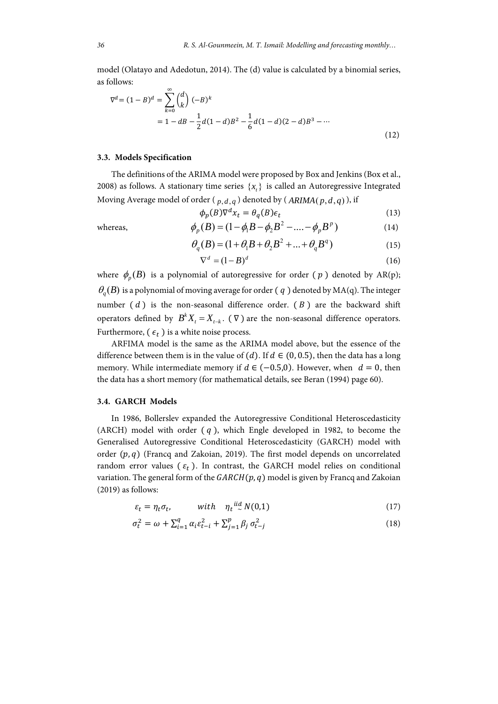model (Olatayo and Adedotun, 2014). The (d) value is calculated by a binomial series, as follows:

$$
\nabla^{d} = (1 - B)^{d} = \sum_{k=0}^{\infty} {d \choose k} (-B)^{k}
$$
  
=  $1 - dB - \frac{1}{2}d(1 - d)B^{2} - \frac{1}{6}d(1 - d)(2 - d)B^{3} - \cdots$  (12)

#### **3.3. Models Specification**

The definitions of the ARIMA model were proposed by Box and Jenkins (Box et al., 2008) as follows. A stationary time series  $\{x_i\}$  is called an Autoregressive Integrated Moving Average model of order ( $p, d, q$ ) denoted by ( $ARIMA(p, d, q)$ ), if

$$
\phi_p(B)\nabla^d x_t = \theta_q(B)\epsilon_t \tag{13}
$$

whereas, 
$$
\phi_p(B) = (1 - \phi_1 B - \phi_2 B^2 - \dots - \phi_p B^p)
$$
 (14)

$$
\theta_q(B) = (1 + \theta_1 B + \theta_2 B^2 + \dots + \theta_q B^q) \tag{15}
$$

$$
\nabla^d = (1 - B)^d \tag{16}
$$

where  $\phi_p(B)$  is a polynomial of autoregressive for order (p) denoted by AR(p);  $\theta_a(B)$  is a polynomial of moving average for order (q) denoted by MA(q). The integer number  $(d)$  is the non-seasonal difference order.  $(B)$  are the backward shift operators defined by  $B^k X_t = X_{t-k}$ . ( $\nabla$ ) are the non-seasonal difference operators. Furthermore,  $(\epsilon_t)$  is a white noise process.

ARFIMA model is the same as the ARIMA model above, but the essence of the difference between them is in the value of (d). If  $d \in (0, 0.5)$ , then the data has a long memory. While intermediate memory if  $d \in (-0.5,0)$ . However, when  $d = 0$ , then the data has a short memory (for mathematical details, see Beran (1994) page 60).

### **3.4. GARCH Models**

In 1986, Bollerslev expanded the Autoregressive Conditional Heteroscedasticity (ARCH) model with order  $(q)$ , which Engle developed in 1982, to become the Generalised Autoregressive Conditional Heteroscedasticity (GARCH) model with order  $(p, q)$  (Francq and Zakoian, 2019). The first model depends on uncorrelated random error values ( $\varepsilon_t$ ). In contrast, the GARCH model relies on conditional variation. The general form of the  $GARCH(p, q)$  model is given by Francq and Zakoian (2019) as follows:

$$
\varepsilon_t = \eta_t \sigma_t, \qquad \text{with} \quad \eta_t \stackrel{iid}{\sim} N(0,1) \tag{17}
$$

$$
\sigma_t^2 = \omega + \sum_{i=1}^q \alpha_i \varepsilon_{t-i}^2 + \sum_{j=1}^p \beta_j \sigma_{t-j}^2
$$
\n(18)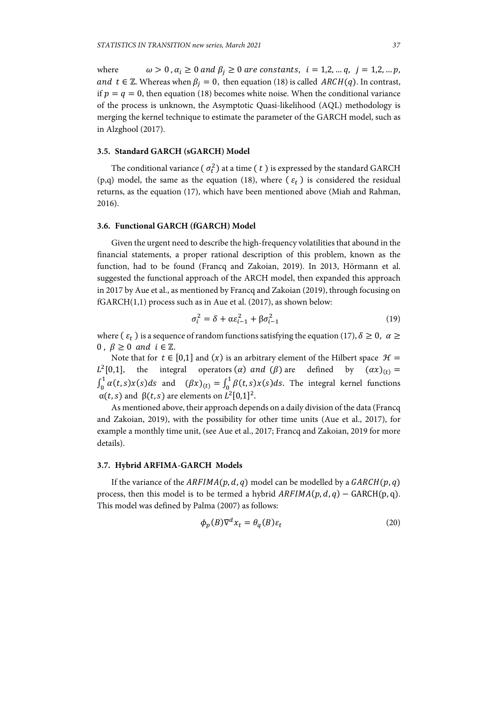where  $\omega > 0$ ,  $\alpha_i \ge 0$  and  $\beta_i \ge 0$  are constants,  $i = 1, 2, ..., q$ ,  $j = 1, 2, ..., p$ , and  $t \in \mathbb{Z}$ . Whereas when  $\beta_i = 0$ , then equation (18) is called  $ARCH(q)$ . In contrast, if  $p = q = 0$ , then equation (18) becomes white noise. When the conditional variance of the process is unknown, the Asymptotic Quasi-likelihood (AQL) methodology is merging the kernel technique to estimate the parameter of the GARCH model, such as in Alzghool (2017).

## **3.5. Standard GARCH (sGARCH) Model**

The conditional variance (  $\sigma_t^2$ ) at a time (  $t$  ) is expressed by the standard GARCH (p,q) model, the same as the equation (18), where  $(\varepsilon_t)$  is considered the residual returns, as the equation (17), which have been mentioned above (Miah and Rahman, 2016).

## **3.6. Functional GARCH (fGARCH) Model**

Given the urgent need to describe the high-frequency volatilities that abound in the financial statements, a proper rational description of this problem, known as the function, had to be found (Francq and Zakoian, 2019). In 2013, Hörmann et al. suggested the functional approach of the ARCH model, then expanded this approach in 2017 by Aue et al., as mentioned by Francq and Zakoian (2019), through focusing on fGARCH(1,1) process such as in Aue et al. (2017), as shown below:

$$
\sigma_i^2 = \delta + \alpha \varepsilon_{i-1}^2 + \beta \sigma_{i-1}^2 \tag{19}
$$

where  $(\varepsilon_t)$  is a sequence of random functions satisfying the equation (17),  $\delta \geq 0$ ,  $\alpha \geq 0$ 0.  $\beta > 0$  and  $i \in \mathbb{Z}$ .

Note that for  $t \in [0,1]$  and  $(x)$  is an arbitrary element of the Hilbert space  $\mathcal{H} =$  $L^2[0,1]$ , the integral operators  $(\alpha)$  and  $(\beta)$  are defined by  $(\alpha x)_{(t)} =$  $\int_0^1 \alpha(t,s)x(s)ds$  and  $(\beta x)_{(t)} = \int_0^1 \beta(t,s)x(s)ds$ . The integral kernel functions  $\alpha(t, s)$  and  $\beta(t, s)$  are elements on  $L^2[0,1]^2$ .

As mentioned above, their approach depends on a daily division of the data (Francq and Zakoian, 2019), with the possibility for other time units (Aue et al., 2017), for example a monthly time unit, (see Aue et al., 2017; Francq and Zakoian, 2019 for more details).

### **3.7. Hybrid ARFIMA-GARCH Models**

If the variance of the  $ARFIMA(p, d, q)$  model can be modelled by a  $GARCH(p, q)$ process, then this model is to be termed a hybrid  $ARFIMA(p, d, q) - GARCH(p, q)$ . This model was defined by Palma (2007) as follows:

$$
\phi_p(B)\nabla^d x_t = \theta_q(B)\varepsilon_t \tag{20}
$$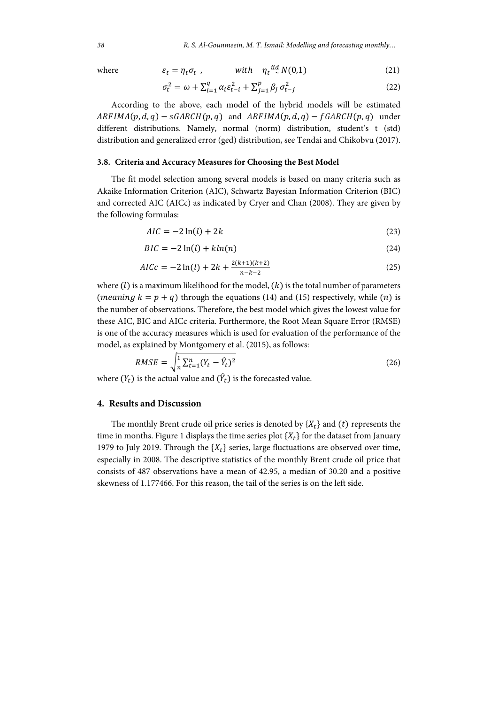where 
$$
\varepsilon_t = \eta_t \sigma_t
$$
, with  $\eta_t^{iid} N(0,1)$  (21)

$$
\sigma_t^2 = \omega + \sum_{i=1}^q \alpha_i \varepsilon_{t-i}^2 + \sum_{j=1}^p \beta_j \sigma_{t-j}^2 \tag{22}
$$

According to the above, each model of the hybrid models will be estimated  $ARFIMA(p, d, q) - sGARCH(p, q)$  and  $ARFIMA(p, d, q) - fGARCH(p, q)$  under different distributions. Namely, normal (norm) distribution, student's t (std) distribution and generalized error (ged) distribution, see Tendai and Chikobvu (2017).

## **3.8. Criteria and Accuracy Measures for Choosing the Best Model**

The fit model selection among several models is based on many criteria such as Akaike Information Criterion (AIC), Schwartz Bayesian Information Criterion (BIC) and corrected AIC (AICc) as indicated by Cryer and Chan (2008). They are given by the following formulas:

$$
AIC = -2\ln(l) + 2k\tag{23}
$$

$$
BIC = -2\ln(l) + k\ln(n) \tag{24}
$$

$$
AICc = -2\ln(l) + 2k + \frac{2(k+1)(k+2)}{n-k-2}
$$
\n(25)

where  $(l)$  is a maximum likelihood for the model,  $(k)$  is the total number of parameters (*meaning*  $k = p + q$ ) through the equations (14) and (15) respectively, while (*n*) is the number of observations. Therefore, the best model which gives the lowest value for these AIC, BIC and AICc criteria. Furthermore, the Root Mean Square Error (RMSE) is one of the accuracy measures which is used for evaluation of the performance of the model, as explained by Montgomery et al. (2015), as follows:

$$
RMSE = \sqrt{\frac{1}{n} \sum_{t=1}^{n} (Y_t - \hat{Y}_t)^2}
$$
 (26)

where  $(Y_t)$  is the actual value and  $(\hat{Y}_t)$  is the forecasted value.

#### **4. Results and Discussion**

The monthly Brent crude oil price series is denoted by  $\{X_t\}$  and  $(t)$  represents the time in months. Figure 1 displays the time series plot  $\{X_t\}$  for the dataset from January 1979 to July 2019. Through the  $\{X_t\}$  series, large fluctuations are observed over time, especially in 2008. The descriptive statistics of the monthly Brent crude oil price that consists of 487 observations have a mean of 42.95, a median of 30.20 and a positive skewness of 1.177466. For this reason, the tail of the series is on the left side.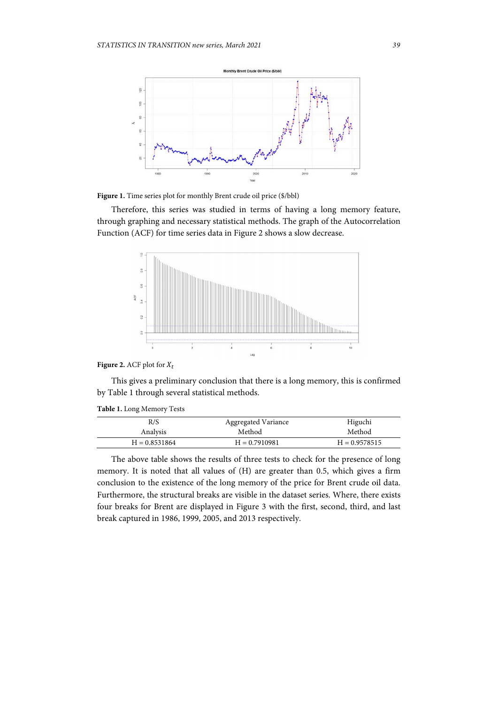

Figure 1. Time series plot for monthly Brent crude oil price (\$/bbl)

Therefore, this series was studied in terms of having a long memory feature, through graphing and necessary statistical methods. The graph of the Autocorrelation Function (ACF) for time series data in Figure 2 shows a slow decrease.



## **Figure 2.** ACF plot for  $X_t$

This gives a preliminary conclusion that there is a long memory, this is confirmed by Table 1 through several statistical methods.

|  |  |  | Table 1. Long Memory Tests |  |
|--|--|--|----------------------------|--|
|--|--|--|----------------------------|--|

| R/S             | Aggregated Variance | Higuchi         |
|-----------------|---------------------|-----------------|
| Analysis        | Method              | Method          |
| $H = 0.8531864$ | $H = 0.7910981$     | $H = 0.9578515$ |

The above table shows the results of three tests to check for the presence of long memory. It is noted that all values of (H) are greater than 0.5, which gives a firm conclusion to the existence of the long memory of the price for Brent crude oil data. Furthermore, the structural breaks are visible in the dataset series. Where, there exists four breaks for Brent are displayed in Figure 3 with the first, second, third, and last break captured in 1986, 1999, 2005, and 2013 respectively.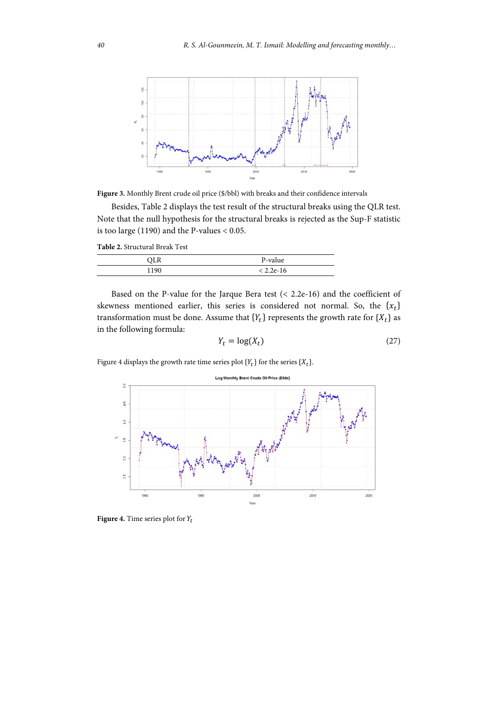

Figure 3. Monthly Brent crude oil price (\$/bbl) with breaks and their confidence intervals

Besides, Table 2 displays the test result of the structural breaks using the QLR test. Note that the null hypothesis for the structural breaks is rejected as the Sup-F statistic is too large (1190) and the P-values < 0.05.

**Table 2.** Structural Break Test

| ם זר<br>سدير | P-value     |
|--------------|-------------|
| 100          | $< 2.2e-16$ |

Based on the P-value for the Jarque Bera test (< 2.2e-16) and the coefficient of skewness mentioned earlier, this series is considered not normal. So, the  $\{x_t\}$ transformation must be done. Assume that  ${Y_t}$  represents the growth rate for  ${X_t}$  as in the following formula:

$$
Y_t = \log(X_t) \tag{27}
$$

Figure 4 displays the growth rate time series plot  $\{Y_t\}$  for the series  $\{X_t\}$ .



**Figure 4.** Time series plot for  $Y_t$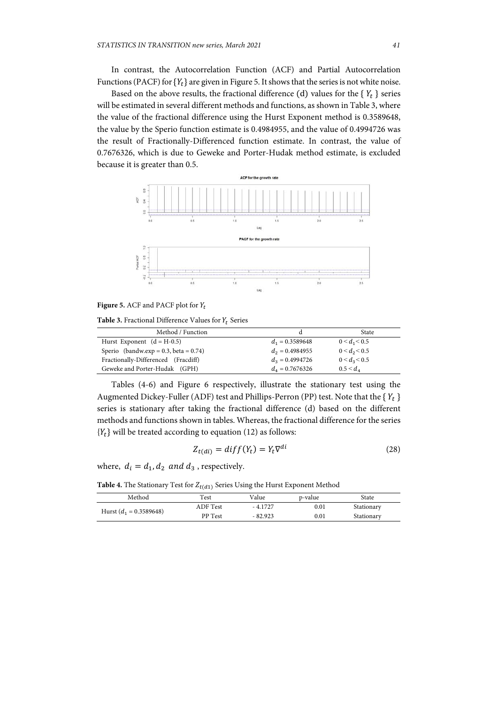In contrast, the Autocorrelation Function (ACF) and Partial Autocorrelation Functions (PACF) for  ${Y_t}$  are given in Figure 5. It shows that the series is not white noise.

Based on the above results, the fractional difference (d) values for the  ${Y_t}$  series will be estimated in several different methods and functions, as shown in Table 3, where the value of the fractional difference using the Hurst Exponent method is 0.3589648, the value by the Sperio function estimate is 0.4984955, and the value of 0.4994726 was the result of Fractionally-Differenced function estimate. In contrast, the value of 0.7676326, which is due to Geweke and Porter-Hudak method estimate, is excluded because it is greater than 0.5.



**Figure 5.** ACF and PACF plot for  $Y_t$ 

**Table 3.** Fractional Difference Values for  $Y_t$  Series

| Method / Function                           |                     | State           |
|---------------------------------------------|---------------------|-----------------|
| Hurst Exponent $(d = H-0.5)$                | $d_1 = 0.3589648$   | $0 < d_1 < 0.5$ |
| Sperio (bandw.exp = $0.3$ , beta = $0.74$ ) | $d_2 = 0.4984955$   | $0 < d_2 < 0.5$ |
| Fractionally-Differenced (Fracdiff)         | $d_2 = 0.4994726$   | $0 < d_3 < 0.5$ |
| Geweke and Porter-Hudak (GPH)               | $d_{4} = 0.7676326$ | $0.5 < d_{A}$   |

Tables (4-6) and Figure 6 respectively, illustrate the stationary test using the Augmented Dickey-Fuller (ADF) test and Phillips-Perron (PP) test. Note that the  ${Y_t}$ series is stationary after taking the fractional difference (d) based on the different methods and functions shown in tables. Whereas, the fractional difference for the series  ${Y_t}$  will be treated according to equation (12) as follows:

$$
Z_{t(di)} = diff(Y_t) = Y_t \nabla^{di} \tag{28}
$$

where,  $d_i = d_1, d_2$  and  $d_3$ , respectively.

**Table 4.** The Stationary Test for  $Z_{t(d1)}$  Series Using the Hurst Exponent Method

| Method                    | Test            | Value     | p-value | State      |  |
|---------------------------|-----------------|-----------|---------|------------|--|
| Hurst $(d_1 = 0.3589648)$ | <b>ADF</b> Test | $-4.1727$ | 0.01    | Stationary |  |
|                           | PP Test         | $-82.923$ | 0.01    | Stationary |  |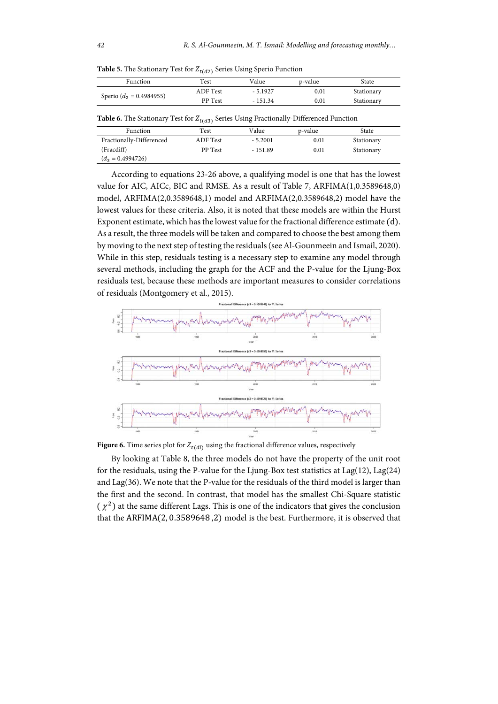| <b>Function</b>             | $\mathop{\sf Test}$ | Value     | p-value | State      |
|-----------------------------|---------------------|-----------|---------|------------|
|                             | ADF Test            | $-5.1927$ | 0.01    | Stationary |
| Sperio ( $d_2$ = 0.4984955) | PP Test             | - 151.34  | 0.01    | Stationary |

**Table 5.** The Stationary Test for  $Z_{t(d2)}$  Series Using Sperio Function

| <b>Table 6.</b> The Stationary Test for $Z_{t(d3)}$ Series Using Fractionally-Differenced Function |  |  |  |
|----------------------------------------------------------------------------------------------------|--|--|--|
|----------------------------------------------------------------------------------------------------|--|--|--|

|                          | .        |           |         |            |  |
|--------------------------|----------|-----------|---------|------------|--|
| Function                 | Test     | Value     | p-value | State      |  |
| Fractionally-Differenced | ADF Test | $-5.2001$ | 0.01    | Stationary |  |
| (Fracdiff)               | PP Test  | - 151.89  | 0.01    | Stationary |  |
| $(d_3 = 0.4994726)$      |          |           |         |            |  |

According to equations 23-26 above, a qualifying model is one that has the lowest value for AIC, AICc, BIC and RMSE. As a result of Table 7, ARFIMA(1,0.3589648,0) model, ARFIMA(2,0.3589648,1) model and ARFIMA(2,0.3589648,2) model have the lowest values for these criteria. Also, it is noted that these models are within the Hurst Exponent estimate, which has the lowest value for the fractional difference estimate (d). As a result, the three models will be taken and compared to choose the best among them by moving to the next step of testing the residuals (see Al-Gounmeein and Ismail, 2020). While in this step, residuals testing is a necessary step to examine any model through several methods, including the graph for the ACF and the P-value for the Ljung-Box residuals test, because these methods are important measures to consider correlations of residuals (Montgomery et al., 2015).



**Figure 6.** Time series plot for  $Z_{t(di)}$  using the fractional difference values, respectively

By looking at Table 8, the three models do not have the property of the unit root for the residuals, using the P-value for the Ljung-Box test statistics at Lag(12), Lag(24) and Lag(36). We note that the P-value for the residuals of the third model is larger than the first and the second. In contrast, that model has the smallest Chi-Square statistic  $(\chi^2)$  at the same different Lags. This is one of the indicators that gives the conclusion that the ARFIMA $(2, 0.3589648, 2)$  model is the best. Furthermore, it is observed that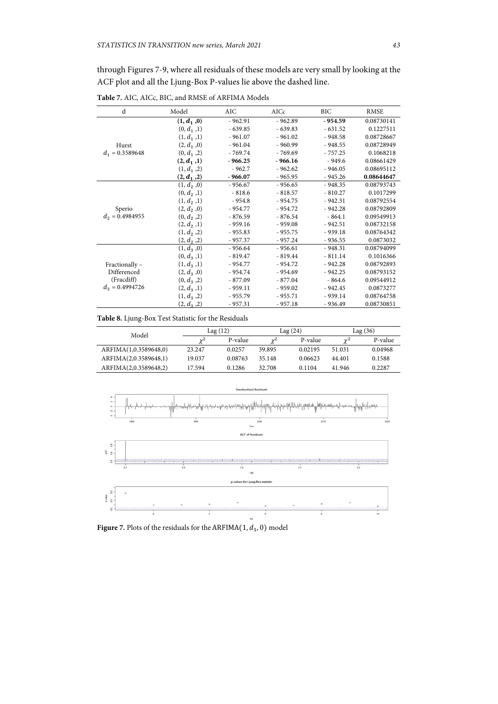through Figures 7-9, where all residuals of these models are very small by looking at the ACF plot and all the Ljung-Box P-values lie above the dashed line.

d Model AIC AICc BIC RMSE Hurst  $d_1 = 0.3589648$ **(1,**  $d_1$ **, 0)**  $-962.91$   $-962.89$   $-954.59$  0.08730141<br>
(0,  $d_1$ , 1)  $-639.85$   $-639.83$   $-631.52$  0.1227511  $(0, d_1, 1)$  - 639.85 - 639.83 - 631.52 0.1227511<br>  $(1, d_1, 1)$  - 961.07 - 961.02 - 948.58 0.08728667  $(1, d_1, 1)$  - 961.07 - 961.02 - 948.58<br>  $(2, d_1, 0)$  - 961.04 - 960.99 - 948.55  $(2, 60.04, 960.99, 960.99)$  - 948.55 0.08728949<br>- 769.74 - 769.69 - 757.25 0.1068218  $(0, d_1, 2)$  - 769.74 - 769.69 - 757.25<br>  $(2, d_1, 1)$  - 966.25 - 966.16 - 949.6 **(2,** *d***<sub>1</sub>,1) - 966.25 - 966.16 - 949.6 0.08661429<br>
(1,** *d***<sub>1</sub>, 2) - 962.7 - 962.62 - 946.05 0.08695112**  $-962.7$   $-962.62$   $-946.05$  0.08695112<br>  $-966.07$   $-965.95$   $-945.26$  0.08644647  $(2, d_1, 2)$  - 966.07 - 965.95 - 945.26 0.08644647<br>  $(1, d_2, 0)$  - 956.67 - 956.65 - 948.35 0.08793743 Sperio  $d_2 = 0.4984955$ 956.67 - 956.65 - 948.35 0.08793743<br>- 818.6 - 818.57 - 810.27 0.1017299  $(0, d_2, 1)$  - 818.6<br>  $(1, d_2, 1)$  - 954.8  $(1, d_2, 1)$  - 954.8 - 954.75 - 942.31 0.08792554<br>  $(2, d_2, 0)$  - 954.77 - 954.72 - 942.28 0.08792809  $\begin{array}{cccccccc} (2, d_2, 0) & -954.77 & -954.72 & -942.28 & 0.08792809 \\ (0, d_2, 2) & -876.59 & -876.54 & -864.1 & 0.09549913 \end{array}$  $(0, d<sub>2</sub>, 2)$  - 876.59 - 876.54 - 864.1 0.09549913<br>  $(2, d<sub>2</sub>, 1)$  - 959.16 - 959.08 - 942.51 0.08732158  $\begin{array}{cccccccc} (2, d_2, 1) & -959.16 & -959.08 & -942.51 & 0.08732158 \\ (1, d_2, 2) & -955.83 & -955.75 & -939.18 & 0.08764342 \end{array}$ 0.08764342  $\begin{array}{cccccccc} (2, d_2, 2) & -957.37 & -957.24 & -936.55 & 0.0873032 \\ (1, d_3, 0) & -956.64 & -956.61 & -948.31 & 0.08794099 \end{array}$ Fractionally – Differenced (Fracdiff)  $d_3 = 0.4994726$ (1, 1, 856.61 - 956.61 - 948.31 0.08794099<br>- 819.47 - 919.44 - 811.14 0.1016366  $(0, d_3, 1)$ (1, ଷ ,1) - 954.77 - 954.72 - 942.28 0.08792893  $-954.74$   $-954.69$   $-942.25$   $0.08793152$ <br> $-877.09$   $-864.6$   $0.09544912$  $\begin{array}{cccc} (0, d_3, 2) & -877.09 & -877.04 & -864.6 \\ (2, d_3, 1) & -959.11 & -959.02 & -942.45 \end{array}$  $\begin{array}{cccccccc} (2, d_3 \, , 1) & -959.11 & -959.02 & -942.45 & 0.0873277 \\ (1, d_3 \, , 2) & -955.79 & -955.71 & -939.14 & 0.08764758 \end{array}$  $(1, d_3, 2)$  - 955.79 - 955.71 - 939.14 0.08764758<br>  $(2, d_3, 2)$  - 957.31 - 957.18 - 936.49 0.08730851  $0.08730851$ 

**Table 7.** AIC, AICc, BIC, and RMSE of ARFIMA Models

**Table 8.** Ljung-Box Test Statistic for the Residuals

| Model                 |        | Lag (12) |        | Lag (24) |        | Lag (36) |  |
|-----------------------|--------|----------|--------|----------|--------|----------|--|
|                       | $v^2$  | P-value  | $v^2$  | P-value  | $v^2$  | P-value  |  |
| ARFIMA(1,0.3589648,0) | 23.247 | 0.0257   | 39.895 | 0.02195  | 51.031 | 0.04968  |  |
| ARFIMA(2,0.3589648,1) | 19.037 | 0.08763  | 35.148 | 0.06623  | 44.401 | 0.1588   |  |
| ARFIMA(2,0.3589648,2) | 17.594 | 0.1286   | 32.708 | 0.1104   | 41.946 | 0.2287   |  |



**Figure 7.** Plots of the residuals for the ARFIMA $(1, d_1, 0)$  model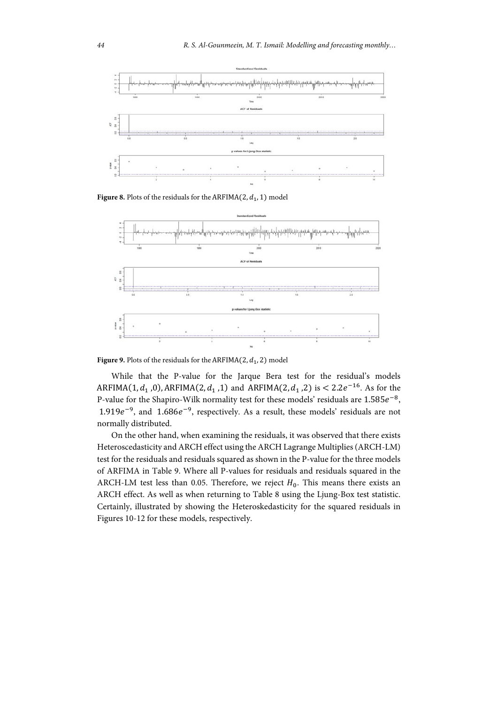

**Figure 8.** Plots of the residuals for the ARFIMA $(2, d_1, 1)$  model



**Figure 9.** Plots of the residuals for the ARFIMA $(2, d_1, 2)$  model

While that the P-value for the Jarque Bera test for the residual's models ARFIMA(1,  $d_1$ , 0), ARFIMA(2,  $d_1$ , 1) and ARFIMA(2,  $d_1$ , 2) is < 2.2 $e^{-16}$ . As for the P-value for the Shapiro-Wilk normality test for these models' residuals are  $1.585e^{-8}$ , 1.919 $e^{-9}$ , and 1.686 $e^{-9}$ , respectively. As a result, these models' residuals are not normally distributed.

On the other hand, when examining the residuals, it was observed that there exists Heteroscedasticity and ARCH effect using the ARCH Lagrange Multiplies (ARCH-LM) test for the residuals and residuals squared as shown in the P-value for the three models of ARFIMA in Table 9. Where all P-values for residuals and residuals squared in the ARCH-LM test less than 0.05. Therefore, we reject  $H_0$ . This means there exists an ARCH effect. As well as when returning to Table 8 using the Ljung-Box test statistic. Certainly, illustrated by showing the Heteroskedasticity for the squared residuals in Figures 10-12 for these models, respectively.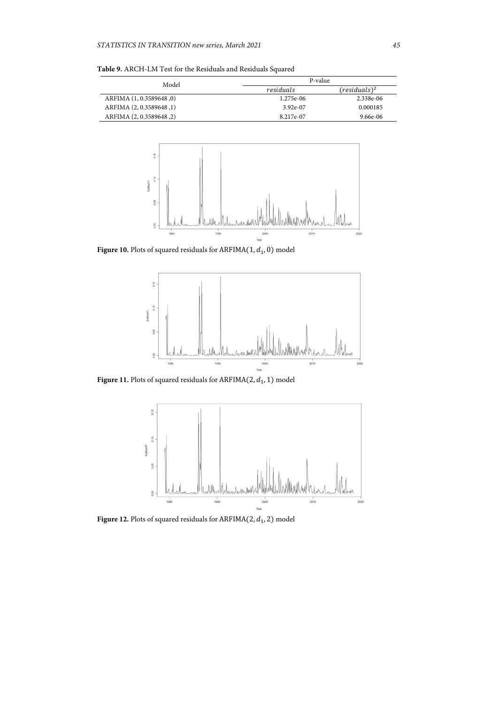**Table 9.** ARCH-LM Test for the Residuals and Residuals Squared

| Model                      | P-value    |                 |  |
|----------------------------|------------|-----------------|--|
|                            | residuals  | $(residuals)^2$ |  |
| ARFIMA $(1, 0.3589648, 0)$ | 1.275e-06  | 2.338e-06       |  |
| ARFIMA $(2, 0.3589648, 1)$ | $3.92e-07$ | 0.000185        |  |
| ARFIMA (2, 0.3589648, 2)   | 8.217e-07  | 9.66e-06        |  |



Figure 10. Plots of squared residuals for  $ARFIMA(1, d_1, 0)$  model



Figure 11. Plots of squared residuals for  $ARFIMA(2, d<sub>1</sub>, 1)$  model



Figure 12. Plots of squared residuals for  $ARFIMA(2, d_1, 2)$  model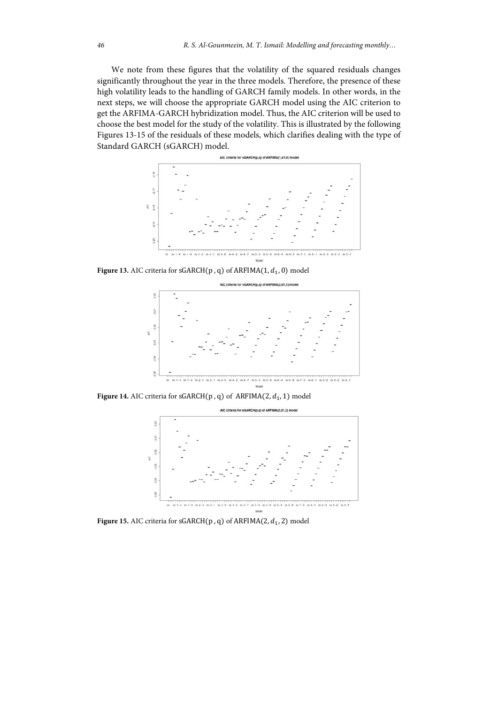We note from these figures that the volatility of the squared residuals changes significantly throughout the year in the three models. Therefore, the presence of these high volatility leads to the handling of GARCH family models. In other words, in the next steps, we will choose the appropriate GARCH model using the AIC criterion to get the ARFIMA-GARCH hybridization model. Thus, the AIC criterion will be used to choose the best model for the study of the volatility. This is illustrated by the following Figures 13-15 of the residuals of these models, which clarifies dealing with the type of Standard GARCH (sGARCH) model.



Figure 13. AIC criteria for  $sGARCH(p, q)$  of  $ARFIMA(1, d<sub>1</sub>, 0)$  model



Figure 14. AIC criteria for  $sGARCH(p, q)$  of  $ARFIMA(2, d<sub>1</sub>, 1)$  model



Figure 15. AIC criteria for  $sGARCH(p, q)$  of  $ARFIMA(2, d<sub>1</sub>, 2)$  model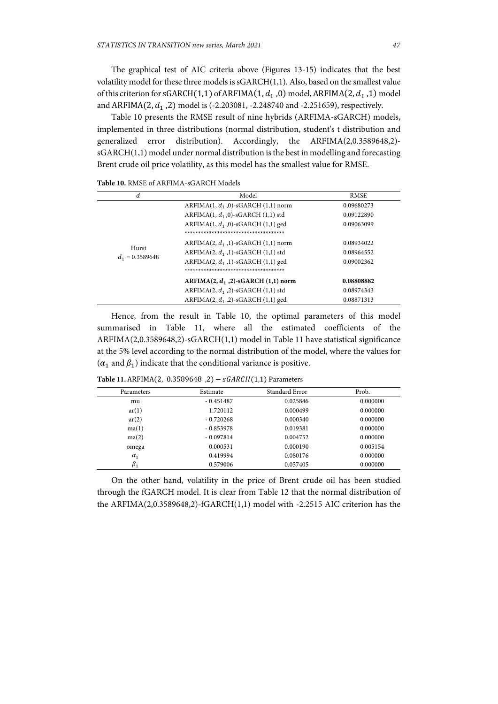The graphical test of AIC criteria above (Figures 13-15) indicates that the best volatility model for these three models is sGARCH(1,1). Also, based on the smallest value of this criterion for sGARCH(1,1) of ARFIMA(1,  $d_1$ ,0) model, ARFIMA(2,  $d_1$ ,1) model and ARFIMA(2,  $d_1$ , 2) model is (-2.203081, -2.248740 and -2.251659), respectively.

Table 10 presents the RMSE result of nine hybrids (ARFIMA-sGARCH) models, implemented in three distributions (normal distribution, student's t distribution and generalized error distribution). Accordingly, the ARFIMA(2,0.3589648,2) sGARCH(1,1) model under normal distribution is the best in modelling and forecasting Brent crude oil price volatility, as this model has the smallest value for RMSE.

|  | <b>Table 10. RMSE of ARFIMA-sGARCH Models</b> |
|--|-----------------------------------------------|
|--|-----------------------------------------------|

| d.                         | Model                                      | <b>RMSE</b> |
|----------------------------|--------------------------------------------|-------------|
|                            | ARFIMA $(1, d_1, 0)$ -sGARCH $(1, 1)$ norm | 0.09680273  |
|                            | ARFIMA $(1, d_1, 0)$ -sGARCH $(1, 1)$ std  | 0.09122890  |
|                            | ARFIMA $(1, d_1, 0)$ -sGARCH $(1, 1)$ ged  | 0.09063099  |
|                            | **********************************         |             |
|                            | ARFIMA $(2, d_1, 1)$ -sGARCH $(1, 1)$ norm | 0.08934022  |
| Hurst<br>$d_1 = 0.3589648$ | ARFIMA $(2, d_1, 1)$ -sGARCH $(1, 1)$ std  | 0.08964552  |
|                            | ARFIMA $(2, d_1, 1)$ -sGARCH $(1, 1)$ ged  | 0.09002362  |
|                            | ************************************       |             |
|                            | ARFIMA $(2, d_1, 2)$ -sGARCH $(1, 1)$ norm | 0.08808882  |
|                            | ARFIMA $(2, d_1, 2)$ -sGARCH $(1, 1)$ std  | 0.08974343  |
|                            | ARFIMA $(2, d_1, 2)$ -sGARCH $(1, 1)$ ged  | 0.08871313  |

Hence, from the result in Table 10, the optimal parameters of this model summarised in Table 11, where all the estimated coefficients of the ARFIMA(2,0.3589648,2)-sGARCH(1,1) model in Table 11 have statistical significance at the 5% level according to the normal distribution of the model, where the values for  $(\alpha_1$  and  $\beta_1$ ) indicate that the conditional variance is positive.

| Parameters  | Estimate    | Standard Error | Prob.    |
|-------------|-------------|----------------|----------|
| mu          | $-0.451487$ | 0.025846       | 0.000000 |
| ar(1)       | 1.720112    | 0.000499       | 0.000000 |
| ar(2)       | $-0.720268$ | 0.000340       | 0.000000 |
| ma(1)       | $-0.853978$ | 0.019381       | 0.000000 |
| ma(2)       | $-0.097814$ | 0.004752       | 0.000000 |
| omega       | 0.000531    | 0.000190       | 0.005154 |
| $\alpha_1$  | 0.419994    | 0.080176       | 0.000000 |
| $\beta_{1}$ | 0.579006    | 0.057405       | 0.000000 |

Table 11. ARFIMA(2, 0.3589648 ,2) -  $sGARCH(1,1)$  Parameters

On the other hand, volatility in the price of Brent crude oil has been studied through the fGARCH model. It is clear from Table 12 that the normal distribution of the ARFIMA(2,0.3589648,2)-fGARCH(1,1) model with -2.2515 AIC criterion has the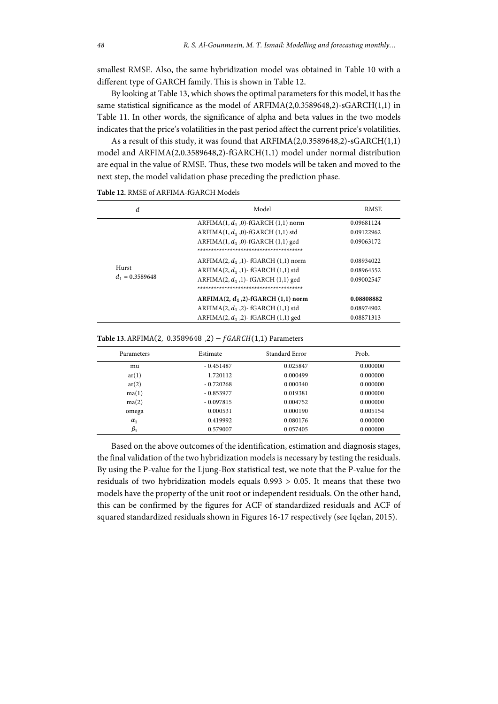smallest RMSE. Also, the same hybridization model was obtained in Table 10 with a different type of GARCH family. This is shown in Table 12.

By looking at Table 13, which shows the optimal parameters for this model, it has the same statistical significance as the model of ARFIMA(2,0.3589648,2)-sGARCH(1,1) in Table 11. In other words, the significance of alpha and beta values in the two models indicates that the price's volatilities in the past period affect the current price's volatilities.

As a result of this study, it was found that ARFIMA(2,0.3589648,2)-sGARCH(1,1) model and ARFIMA(2,0.3589648,2)-fGARCH(1,1) model under normal distribution are equal in the value of RMSE. Thus, these two models will be taken and moved to the next step, the model validation phase preceding the prediction phase.

| d                          | Model                                                                                                                                                                            | <b>RMSE</b>                            |
|----------------------------|----------------------------------------------------------------------------------------------------------------------------------------------------------------------------------|----------------------------------------|
| Hurst<br>$d_1 = 0.3589648$ | ARFIMA $(1, d_1, 0)$ -fGARCH $(1, 1)$ norm<br>ARFIMA $(1, d_1, 0)$ -fGARCH $(1, 1)$ std<br>ARFIMA $(1, d_1, 0)$ -fGARCH $(1, 1)$ ged                                             | 0.09681124<br>0.09122962<br>0.09063172 |
|                            | ARFIMA $(2, d_1, 1)$ - fGARCH $(1, 1)$ norm<br>ARFIMA $(2, d_1, 1)$ - fGARCH $(1, 1)$ std<br>ARFIMA $(2, d_1, 1)$ - fGARCH $(1, 1)$ ged<br>************************************* | 0.08934022<br>0.08964552<br>0.09002547 |
|                            | ARFIMA $(2, d_1, 2)$ -fGARCH $(1, 1)$ norm<br>ARFIMA $(2, d_1, 2)$ - fGARCH $(1, 1)$ std<br>ARFIMA $(2, d_1, 2)$ - fGARCH $(1, 1)$ ged                                           | 0.08808882<br>0.08974902<br>0.08871313 |

**Table 12.** RMSE of ARFIMA-fGARCH Models

| <b>Table 13.</b> ARFIMA(2, 0.3589648, 2) – $fGARCH(1,1)$ Parameters |  |  |  |
|---------------------------------------------------------------------|--|--|--|
|---------------------------------------------------------------------|--|--|--|

| Parameters | Estimate    | Standard Error | Prob.    |
|------------|-------------|----------------|----------|
| mu         | $-0.451487$ | 0.025847       | 0.000000 |
| ar(1)      | 1.720112    | 0.000499       | 0.000000 |
| ar(2)      | $-0.720268$ | 0.000340       | 0.000000 |
| ma(1)      | $-0.853977$ | 0.019381       | 0.000000 |
| ma(2)      | $-0.097815$ | 0.004752       | 0.000000 |
| omega      | 0.000531    | 0.000190       | 0.005154 |
| $\alpha_1$ | 0.419992    | 0.080176       | 0.000000 |
| $\beta_1$  | 0.579007    | 0.057405       | 0.000000 |

Based on the above outcomes of the identification, estimation and diagnosis stages, the final validation of the two hybridization models is necessary by testing the residuals. By using the P-value for the Ljung-Box statistical test, we note that the P-value for the residuals of two hybridization models equals 0.993 > 0.05. It means that these two models have the property of the unit root or independent residuals. On the other hand, this can be confirmed by the figures for ACF of standardized residuals and ACF of squared standardized residuals shown in Figures 16-17 respectively (see Iqelan, 2015).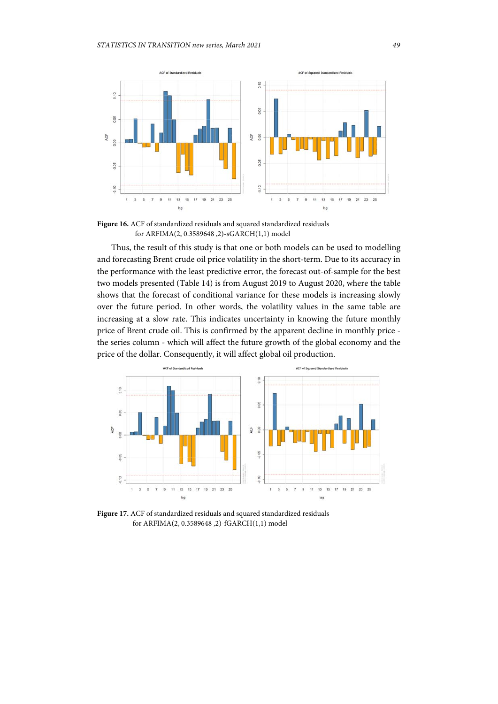

**Figure 16.** ACF of standardized residuals and squared standardized residuals for ARFIMA(2, 0.3589648 ,2)-sGARCH(1,1) model

Thus, the result of this study is that one or both models can be used to modelling and forecasting Brent crude oil price volatility in the short-term. Due to its accuracy in the performance with the least predictive error, the forecast out-of-sample for the best two models presented (Table 14) is from August 2019 to August 2020, where the table shows that the forecast of conditional variance for these models is increasing slowly over the future period. In other words, the volatility values in the same table are increasing at a slow rate. This indicates uncertainty in knowing the future monthly price of Brent crude oil. This is confirmed by the apparent decline in monthly price the series column - which will affect the future growth of the global economy and the price of the dollar. Consequently, it will affect global oil production.



**Figure 17.** ACF of standardized residuals and squared standardized residuals for ARFIMA(2, 0.3589648 ,2)-fGARCH(1,1) model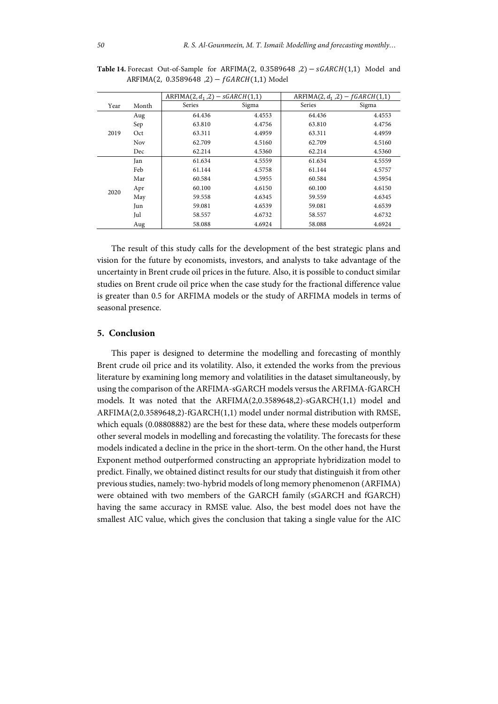|      |            | $ARFIMA(2, d_1, 2) - sGARCH(1,1)$ |        | ARFIMA $(2, d_1, 2) - fGARCH(1,1)$ |        |
|------|------------|-----------------------------------|--------|------------------------------------|--------|
| Year | Month      | Series                            | Sigma  | Series                             | Sigma  |
| 2019 | Aug        | 64.436                            | 4.4553 | 64.436                             | 4.4553 |
|      | Sep        | 63.810                            | 4.4756 | 63.810                             | 4.4756 |
|      | Oct        | 63.311                            | 4.4959 | 63.311                             | 4.4959 |
|      | <b>Nov</b> | 62.709                            | 4.5160 | 62.709                             | 4.5160 |
|      | Dec        | 62.214                            | 4.5360 | 62.214                             | 4.5360 |
| 2020 | Jan        | 61.634                            | 4.5559 | 61.634                             | 4.5559 |
|      | Feb        | 61.144                            | 4.5758 | 61.144                             | 4.5757 |
|      | Mar        | 60.584                            | 4.5955 | 60.584                             | 4.5954 |
|      | Apr        | 60.100                            | 4.6150 | 60.100                             | 4.6150 |
|      | May        | 59.558                            | 4.6345 | 59.559                             | 4.6345 |
|      | Jun        | 59.081                            | 4.6539 | 59.081                             | 4.6539 |
|      | Jul        | 58.557                            | 4.6732 | 58.557                             | 4.6732 |
|      | Aug        | 58.088                            | 4.6924 | 58.088                             | 4.6924 |

Table 14. Forecast Out-of-Sample for ARFIMA(2,  $0.3589648$ , 2) –  $sGARCH(1,1)$  Model and  $ARFIMA(2, 0.3589648, 2) - fGARCH(1,1) Model$ 

The result of this study calls for the development of the best strategic plans and vision for the future by economists, investors, and analysts to take advantage of the uncertainty in Brent crude oil prices in the future. Also, it is possible to conduct similar studies on Brent crude oil price when the case study for the fractional difference value is greater than 0.5 for ARFIMA models or the study of ARFIMA models in terms of seasonal presence.

### **5. Conclusion**

This paper is designed to determine the modelling and forecasting of monthly Brent crude oil price and its volatility. Also, it extended the works from the previous literature by examining long memory and volatilities in the dataset simultaneously, by using the comparison of the ARFIMA-sGARCH models versus the ARFIMA-fGARCH models. It was noted that the ARFIMA(2,0.3589648,2)-sGARCH(1,1) model and ARFIMA(2,0.3589648,2)-fGARCH(1,1) model under normal distribution with RMSE, which equals (0.08808882) are the best for these data, where these models outperform other several models in modelling and forecasting the volatility. The forecasts for these models indicated a decline in the price in the short-term. On the other hand, the Hurst Exponent method outperformed constructing an appropriate hybridization model to predict. Finally, we obtained distinct results for our study that distinguish it from other previous studies, namely: two-hybrid models of long memory phenomenon (ARFIMA) were obtained with two members of the GARCH family (sGARCH and fGARCH) having the same accuracy in RMSE value. Also, the best model does not have the smallest AIC value, which gives the conclusion that taking a single value for the AIC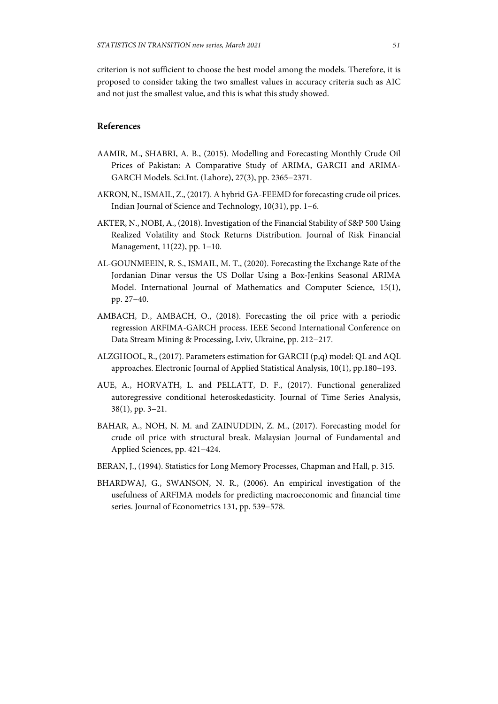criterion is not sufficient to choose the best model among the models. Therefore, it is proposed to consider taking the two smallest values in accuracy criteria such as AIC and not just the smallest value, and this is what this study showed.

## **References**

- AAMIR, M., SHABRI, A. B., (2015). Modelling and Forecasting Monthly Crude Oil Prices of Pakistan: A Comparative Study of ARIMA, GARCH and ARIMA-GARCH Models. Sci.Int. (Lahore), 27(3), pp. 2365−2371.
- AKRON, N., ISMAIL, Z., (2017). A hybrid GA-FEEMD for forecasting crude oil prices. Indian Journal of Science and Technology, 10(31), pp. 1−6.
- AKTER, N., NOBI, A., (2018). Investigation of the Financial Stability of S&P 500 Using Realized Volatility and Stock Returns Distribution. Journal of Risk Financial Management, 11(22), pp. 1−10.
- AL-GOUNMEEIN, R. S., ISMAIL, M. T., (2020). Forecasting the Exchange Rate of the Jordanian Dinar versus the US Dollar Using a Box-Jenkins Seasonal ARIMA Model. International Journal of Mathematics and Computer Science, 15(1), pp. 27−40.
- AMBACH, D., AMBACH, O., (2018). Forecasting the oil price with a periodic regression ARFIMA-GARCH process. IEEE Second International Conference on Data Stream Mining & Processing, Lviv, Ukraine, pp. 212−217.
- ALZGHOOL, R., (2017). Parameters estimation for GARCH (p,q) model: QL and AQL approaches. Electronic Journal of Applied Statistical Analysis, 10(1), pp.180−193.
- AUE, A., HORVATH, L. and PELLATT, D. F., (2017). Functional generalized autoregressive conditional heteroskedasticity. Journal of Time Series Analysis, 38(1), pp. 3−21.
- BAHAR, A., NOH, N. M. and ZAINUDDIN, Z. M., (2017). Forecasting model for crude oil price with structural break. Malaysian Journal of Fundamental and Applied Sciences, pp. 421−424.
- BERAN, J., (1994). Statistics for Long Memory Processes, Chapman and Hall, p. 315.
- BHARDWAJ, G., SWANSON, N. R., (2006). An empirical investigation of the usefulness of ARFIMA models for predicting macroeconomic and financial time series. Journal of Econometrics 131, pp. 539−578.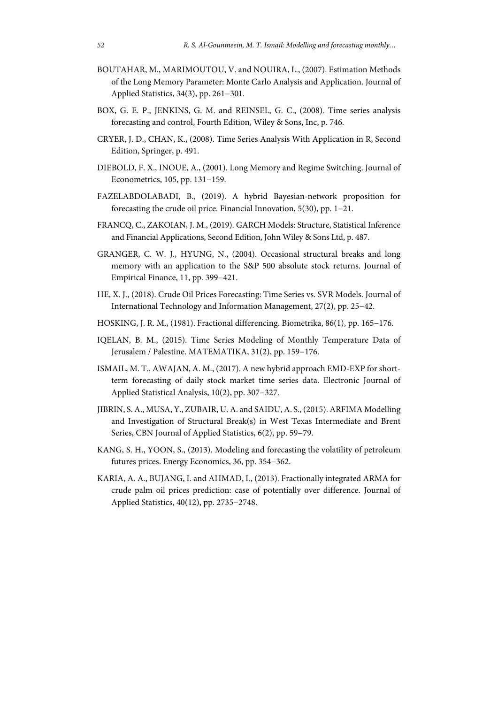- BOUTAHAR, M., MARIMOUTOU, V. and NOUIRA, L., (2007). Estimation Methods of the Long Memory Parameter: Monte Carlo Analysis and Application. Journal of Applied Statistics, 34(3), pp. 261−301.
- BOX, G. E. P., JENKINS, G. M. and REINSEL, G. C., (2008). Time series analysis forecasting and control, Fourth Edition, Wiley & Sons, Inc, p. 746.
- CRYER, J. D., CHAN, K., (2008). Time Series Analysis With Application in R, Second Edition, Springer, p. 491.
- DIEBOLD, F. X., INOUE, A., (2001). Long Memory and Regime Switching. Journal of Econometrics, 105, pp. 131−159.
- FAZELABDOLABADI, B., (2019). A hybrid Bayesian-network proposition for forecasting the crude oil price. Financial Innovation, 5(30), pp. 1−21.
- FRANCQ, C., ZAKOIAN, J. M., (2019). GARCH Models: Structure, Statistical Inference and Financial Applications, Second Edition, John Wiley & Sons Ltd, p. 487.
- GRANGER, C. W. J., HYUNG, N., (2004). Occasional structural breaks and long memory with an application to the S&P 500 absolute stock returns. Journal of Empirical Finance, 11, pp. 399−421.
- HE, X. J., (2018). Crude Oil Prices Forecasting: Time Series vs. SVR Models. Journal of International Technology and Information Management, 27(2), pp. 25−42.
- HOSKING, J. R. M., (1981). Fractional differencing. Biometrika, 86(1), pp. 165−176.
- IQELAN, B. M., (2015). Time Series Modeling of Monthly Temperature Data of Jerusalem / Palestine. MATEMATIKA, 31(2), pp. 159−176.
- ISMAIL, M. T., AWAJAN, A. M., (2017). A new hybrid approach EMD-EXP for shortterm forecasting of daily stock market time series data. Electronic Journal of Applied Statistical Analysis, 10(2), pp. 307−327.
- JIBRIN, S. A., MUSA, Y., ZUBAIR, U. A. and SAIDU, A. S., (2015). ARFIMA Modelling and Investigation of Structural Break(s) in West Texas Intermediate and Brent Series, CBN Journal of Applied Statistics, 6(2), pp. 59−79.
- KANG, S. H., YOON, S., (2013). Modeling and forecasting the volatility of petroleum futures prices. Energy Economics, 36, pp. 354−362.
- KARIA, A. A., BUJANG, I. and AHMAD, I., (2013). Fractionally integrated ARMA for crude palm oil prices prediction: case of potentially over difference. Journal of Applied Statistics, 40(12), pp. 2735−2748.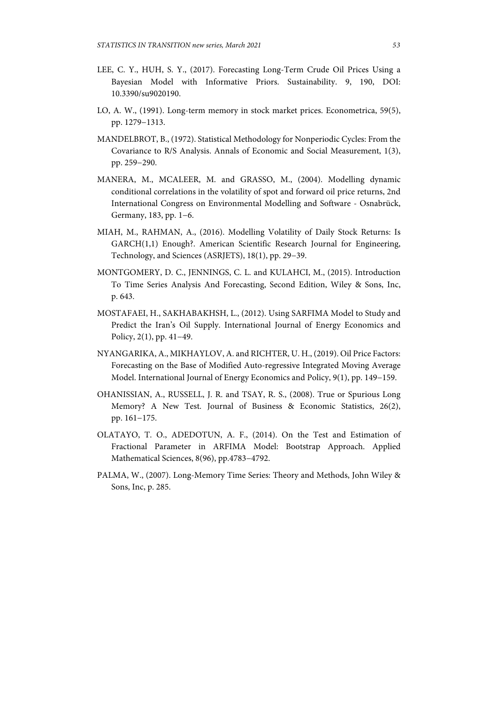- LEE, C. Y., HUH, S. Y., (2017). Forecasting Long-Term Crude Oil Prices Using a Bayesian Model with Informative Priors. Sustainability. 9, 190, DOI: 10.3390/su9020190.
- LO, A. W., (1991). Long-term memory in stock market prices. Econometrica, 59(5), pp. 1279−1313.
- MANDELBROT, B., (1972). Statistical Methodology for Nonperiodic Cycles: From the Covariance to R/S Analysis. Annals of Economic and Social Measurement, 1(3), pp. 259−290.
- MANERA, M., MCALEER, M. and GRASSO, M., (2004). Modelling dynamic conditional correlations in the volatility of spot and forward oil price returns, 2nd International Congress on Environmental Modelling and Software - Osnabrück, Germany, 183, pp. 1−6.
- MIAH, M., RAHMAN, A., (2016). Modelling Volatility of Daily Stock Returns: Is GARCH(1,1) Enough?. American Scientific Research Journal for Engineering, Technology, and Sciences (ASRJETS), 18(1), pp. 29−39.
- MONTGOMERY, D. C., JENNINGS, C. L. and KULAHCI, M., (2015). Introduction To Time Series Analysis And Forecasting, Second Edition, Wiley & Sons, Inc, p. 643.
- MOSTAFAEI, H., SAKHABAKHSH, L., (2012). Using SARFIMA Model to Study and Predict the Iran's Oil Supply. International Journal of Energy Economics and Policy, 2(1), pp. 41−49.
- NYANGARIKA, A., MIKHAYLOV, A. and RICHTER, U. H., (2019). Oil Price Factors: Forecasting on the Base of Modified Auto-regressive Integrated Moving Average Model. International Journal of Energy Economics and Policy, 9(1), pp. 149−159.
- OHANISSIAN, A., RUSSELL, J. R. and TSAY, R. S., (2008). True or Spurious Long Memory? A New Test. Journal of Business & Economic Statistics, 26(2), pp. 161−175.
- OLATAYO, T. O., ADEDOTUN, A. F., (2014). On the Test and Estimation of Fractional Parameter in ARFIMA Model: Bootstrap Approach. Applied Mathematical Sciences, 8(96), pp.4783−4792.
- PALMA, W., (2007). Long-Memory Time Series: Theory and Methods, John Wiley & Sons, Inc, p. 285.